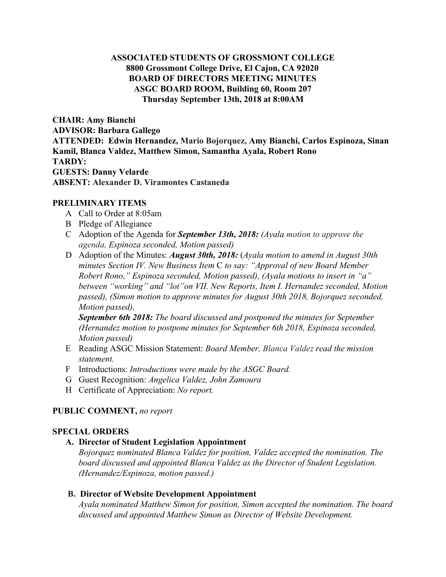### **ASSOCIATED STUDENTS OF GROSSMONT COLLEGE 8800 Grossmont College Drive, El Cajon, CA 92020 BOARD OF DIRECTORS MEETING MINUTES ASGC BOARD ROOM, Building 60, Room 207 Thursday September 13th, 2018 at 8:00AM**

**CHAIR: Amy Bianchi ADVISOR: Barbara Gallego ATTENDED: Edwin Hernandez, Mario Bojorquez, Amy Bianchi, Carlos Espinoza, Sinan Kamil, Blanca Valdez, Matthew Simon, Samantha Ayala, Robert Rono TARDY: GUESTS: Danny Velarde ABSENT: Alexander D. Viramontes Castaneda**

### **PRELIMINARY ITEMS**

- A Call to Order at 8:05am
- B Pledge of Allegiance
- C Adoption of the Agenda for *September 13th, 2018: (Ayala motion to approve the agenda, Espinoza seconded, Motion passed)*
- D Adoption of the Minutes: *August 30th, 2018:* ( *Ayala motion to amend in August 30th minutes Section IV. New Business Item* C *to say: "Approval of new Board Member Robert Rono," Espinoza seconded, Motion passed), (Ayala motions to insert in "a" between "working" and "lot"on VII. New Reports, Item I. Hernandez seconded, Motion passed), (Simon motion to approve minutes for August 30th 2018, Bojorquez seconded, Motion passed),*

*September 6th 2018: The board discussed and postponed the minutes for September (Hernandez motion to postpone minutes for September 6th 2018, Espinoza seconded, Motion passed)*

- E Reading ASGC Mission Statement: *Board Member, Blanca Valdez read the mission statement.*
- F Introductions: *Introductions were made by the ASGC Board.*
- G Guest Recognition: *Angelica Valdez, John Zamoura*
- H Certificate of Appreciation: *No report.*

### **PUBLIC COMMENT,** *no report*

### **SPECIAL ORDERS**

#### **A. Director of Student Legislation Appointment**

*Bojorquez nominated Blanca Valdez for position, Valdez accepted the nomination. The board discussed and appointed Blanca Valdez as the Director of Student Legislation. (Hernandez/Espinoza, motion passed.)*

#### **B. Director of Website Development Appointment**

*Ayala nominated Matthew Simon for position, Simon accepted the nomination. The board discussed and appointed Matthew Simon as Director of Website Development.*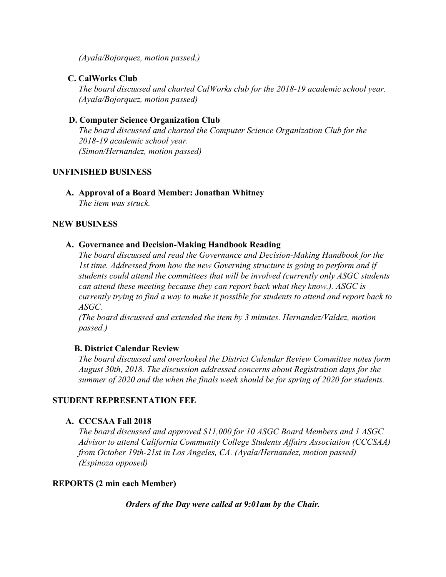*(Ayala/Bojorquez, motion passed.)*

## **C. CalWorks Club**

*The board discussed and charted CalWorks club for the 2018-19 academic school year. (Ayala/Bojorquez, motion passed)*

## **D. Computer Science Organization Club**

*The board discussed and charted the Computer Science Organization Club for the 2018-19 academic school year. (Simon/Hernandez, motion passed)*

### **UNFINISHED BUSINESS**

**A. Approval of a Board Member: Jonathan Whitney** *The item was struck.*

### **NEW BUSINESS**

### **A. Governance and Decision-Making Handbook Reading**

*The board discussed and read the Governance and Decision-Making Handbook for the 1st time. Addressed from how the new Governing structure is going to perform and if students could attend the committees that will be involved (currently only ASGC students can attend these meeting because they can report back what they know.). ASGC is currently trying to find a way to make it possible for students to attend and report back to ASGC.*

*(The board discussed and extended the item by 3 minutes. Hernandez/Valdez, motion passed.)*

### **B. District Calendar Review**

*The board discussed and overlooked the District Calendar Review Committee notes form August 30th, 2018. The discussion addressed concerns about Registration days for the summer of 2020 and the when the finals week should be for spring of 2020 for students.*

### **STUDENT REPRESENTATION FEE**

### **A. CCCSAA Fall 2018**

*The board discussed and approved \$11,000 for 10 ASGC Board Members and 1 ASGC Advisor to attend California Community College Students Affairs Association (CCCSAA) from October 19th-21st in Los Angeles, CA. (Ayala/Hernandez, motion passed) (Espinoza opposed)*

### **REPORTS (2 min each Member)**

### *Orders of the Day were called at 9:01am by the Chair.*